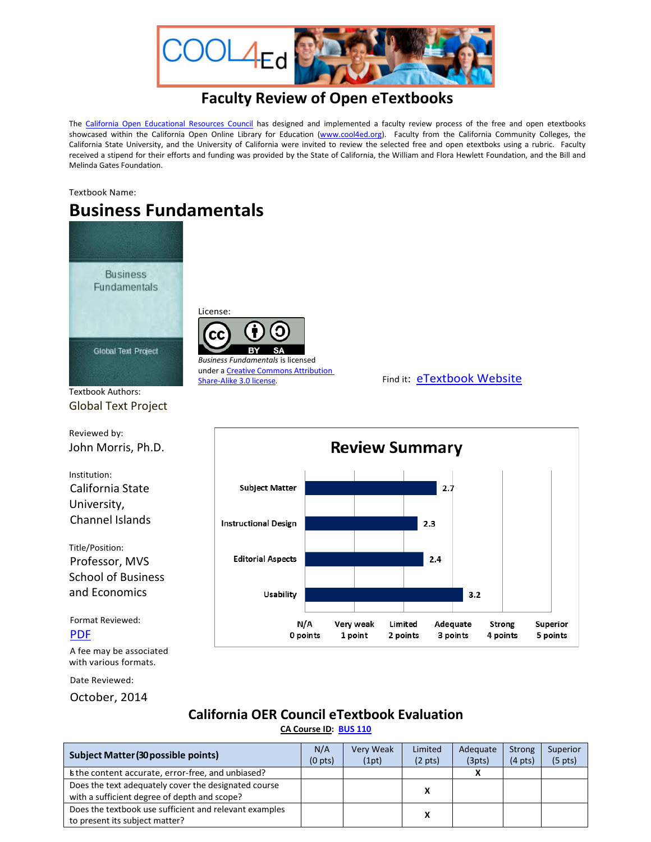

## **Faculty Review of Open eTextbooks**

The [California Open Educational Resources Council](http://icas-ca.org/coerc) has designed and implemented a faculty review process of the free and open etextbooks showcased within the California Open Online Library for Education [\(www.cool4ed.org\)](http://www.cool4ed.org/). Faculty from the California Community Colleges, the California State University, and the University of California were invited to review the selected free and open etextboks using a rubric. Faculty received a stipend for their efforts and funding was provided by the State of California, the William and Flora Hewlett Foundation, and the Bill and Melinda Gates Foundation.

Textbook Name:

# **Business Fundamentals**

License:

cс

*Business Fundamentals* is licensed under a Creative Commons [Attribution](http://creativecommons.org/licenses/by/3.0/)



Textbook Authors: Global Text Project

Reviewed by: John Morris, Ph.D.

Institution: California State University, Channel Islands

Title/Position: Professor, MVS School of Business and Economics

Format Reviewed: [PDF](http://cnx.org/exports/d6db603c-cd31-4ca4-be19-d29734673b90@4.3.pdf/business-fundamentals-4.3.pdf)

A fee may be associated with various formats.

Date Reviewed:

October, 2014

## **California OER Council eTextbook Evaluation**

**[CA Course ID:](https://c-id.net/about.html) [BUS](https://c-id.net/descriptor_details.html?descriptor=306&submitbtn=Go) 110**

| <b>Subject Matter (30 possible points)</b>                                                           | N/A<br>(0 <sub>pts</sub> ) | Very Weak<br>(1pt) | Limited<br>$(2 \text{ pts})$ | Adequate<br>(3pts) | Strong<br>$(4 \text{ pts})$ | Superior<br>(5 <sub>pts</sub> ) |
|------------------------------------------------------------------------------------------------------|----------------------------|--------------------|------------------------------|--------------------|-----------------------------|---------------------------------|
| s the content accurate, error-free, and unbiased?                                                    |                            |                    |                              |                    |                             |                                 |
| Does the text adequately cover the designated course<br>with a sufficient degree of depth and scope? |                            |                    | x                            |                    |                             |                                 |
| Does the textbook use sufficient and relevant examples<br>to present its subject matter?             |                            |                    | x                            |                    |                             |                                 |



### [Share-Alike](http://creativecommons.org/licenses/by/3.0/) 3.0 license. Find it: [eTextbook Website](http://cnx.org/contents/d6db603c-cd31-4ca4-be19-d29734673b90@4.3/Business_Fundamentals)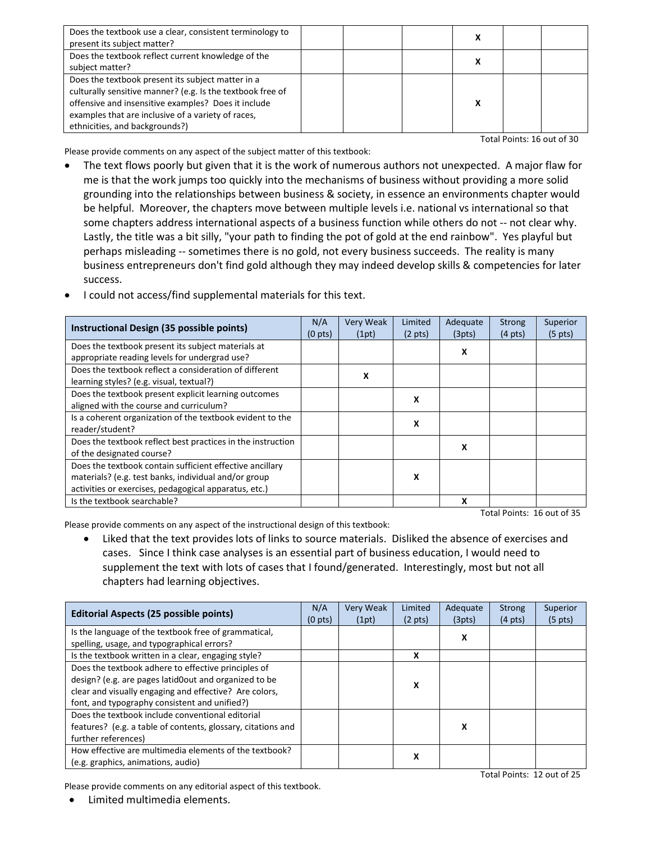| Does the textbook use a clear, consistent terminology to<br>present its subject matter?                                                                                                                                                                        |  |  |  |
|----------------------------------------------------------------------------------------------------------------------------------------------------------------------------------------------------------------------------------------------------------------|--|--|--|
| Does the textbook reflect current knowledge of the<br>subject matter?                                                                                                                                                                                          |  |  |  |
| Does the textbook present its subject matter in a<br>culturally sensitive manner? (e.g. Is the textbook free of<br>offensive and insensitive examples? Does it include<br>examples that are inclusive of a variety of races,<br>ethnicities, and backgrounds?) |  |  |  |

Please provide comments on any aspect of the subject matter of this textbook:

- The text flows poorly but given that it is the work of numerous authors not unexpected. A major flaw for me is that the work jumps too quickly into the mechanisms of business without providing a more solid grounding into the relationships between business & society, in essence an environments chapter would be helpful. Moreover, the chapters move between multiple levels i.e. national vs international so that some chapters address international aspects of a business function while others do not -- not clear why. Lastly, the title was a bit silly, "your path to finding the pot of gold at the end rainbow". Yes playful but perhaps misleading -- sometimes there is no gold, not every business succeeds. The reality is many business entrepreneurs don't find gold although they may indeed develop skills & competencies for later success.
- **Instructional Design (35 possible points)** (0 pts) Very Weak (1pt) Limited (2 pts) Adequate (3pts) Strong (4 pts) Superior (5 pts) Does the textbook present its subject materials at appropriate reading levels for undergrad use? **<sup>X</sup>** Does the textbook reflect a consideration of different learning styles? (e.g. visual, textual?) **<sup>X</sup>** Does the textbook present explicit learning outcomes aligned with the course and curriculum?<br> **X** aligned with the course and curriculum? Is a coherent organization of the textbook evident to the reader/student? **X**<br>reader/student? **X** Does the textbook reflect best practices in the instruction of the designated course? **<sup>X</sup>** Does the textbook contain sufficient effective ancillary materials? (e.g. test banks, individual and/or group activities or exercises, pedagogical apparatus, etc.) **X** Is the textbook searchable? **X** Total Points: 16 out of 35
- I could not access/find supplemental materials for this text.

Please provide comments on any aspect of the instructional design of this textbook:

• Liked that the text provides lots of links to source materials. Disliked the absence of exercises and cases. Since I think case analyses is an essential part of business education, I would need to supplement the text with lots of cases that I found/generated. Interestingly, most but not all chapters had learning objectives.

| <b>Editorial Aspects (25 possible points)</b>                                                      | N/A<br>(0 <sub>pts</sub> ) | <b>Very Weak</b><br>(1pt) | Limited<br>$(2 \text{ pts})$ | Adequate<br>(3pts) | <b>Strong</b><br>$(4 \text{ pts})$ | Superior<br>$(5 \text{ pts})$ |
|----------------------------------------------------------------------------------------------------|----------------------------|---------------------------|------------------------------|--------------------|------------------------------------|-------------------------------|
| Is the language of the textbook free of grammatical,<br>spelling, usage, and typographical errors? |                            |                           |                              | x                  |                                    |                               |
| Is the textbook written in a clear, engaging style?                                                |                            |                           | x                            |                    |                                    |                               |
| Does the textbook adhere to effective principles of                                                |                            |                           |                              |                    |                                    |                               |
| design? (e.g. are pages latid0out and organized to be<br>x                                         |                            |                           |                              |                    |                                    |                               |
| clear and visually engaging and effective? Are colors,                                             |                            |                           |                              |                    |                                    |                               |
| font, and typography consistent and unified?)                                                      |                            |                           |                              |                    |                                    |                               |
| Does the textbook include conventional editorial                                                   |                            |                           |                              |                    |                                    |                               |
| features? (e.g. a table of contents, glossary, citations and                                       |                            |                           |                              | x                  |                                    |                               |
| further references)                                                                                |                            |                           |                              |                    |                                    |                               |
| How effective are multimedia elements of the textbook?                                             |                            |                           | x                            |                    |                                    |                               |
| (e.g. graphics, animations, audio)                                                                 |                            |                           |                              |                    |                                    |                               |

Please provide comments on any editorial aspect of this textbook.

Total Points: 12 out of 25

Total Points: 16 out of 30

• Limited multimedia elements.